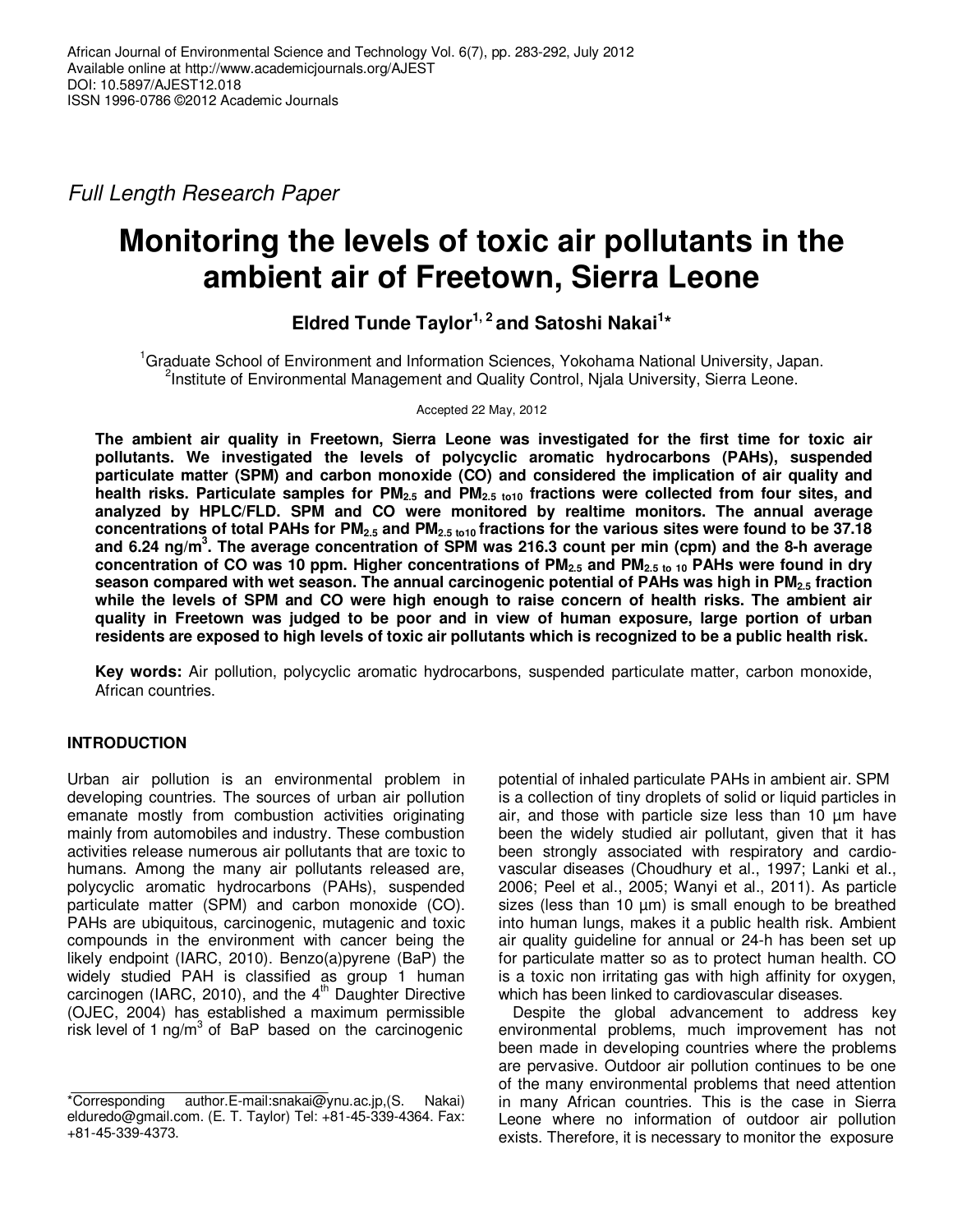Full Length Research Paper

# **Monitoring the levels of toxic air pollutants in the ambient air of Freetown, Sierra Leone**

**Eldred Tunde Taylor1, 2 and Satoshi Nakai<sup>1</sup> \*** 

<sup>1</sup>Graduate School of Environment and Information Sciences, Yokohama National University, Japan. <sup>2</sup>Institute of Environmental Management and Quality Control, Njala University, Sierra Leone.

Accepted 22 May, 2012

**The ambient air quality in Freetown, Sierra Leone was investigated for the first time for toxic air pollutants. We investigated the levels of polycyclic aromatic hydrocarbons (PAHs), suspended particulate matter (SPM) and carbon monoxide (CO) and considered the implication of air quality and health risks. Particulate samples for PM2.5 and PM2.5 to10 fractions were collected from four sites, and analyzed by HPLC/FLD. SPM and CO were monitored by realtime monitors. The annual average concentrations of total PAHs for PM2.5 and PM2.5 to10 fractions for the various sites were found to be 37.18 and 6.24 ng/m<sup>3</sup> . The average concentration of SPM was 216.3 count per min (cpm) and the 8-h average concentration of CO was 10 ppm. Higher concentrations of PM2.5 and PM2.5 to 10 PAHs were found in dry season compared with wet season. The annual carcinogenic potential of PAHs was high in PM2.5 fraction while the levels of SPM and CO were high enough to raise concern of health risks. The ambient air quality in Freetown was judged to be poor and in view of human exposure, large portion of urban residents are exposed to high levels of toxic air pollutants which is recognized to be a public health risk.** 

**Key words:** Air pollution, polycyclic aromatic hydrocarbons, suspended particulate matter, carbon monoxide, African countries.

## **INTRODUCTION**

Urban air pollution is an environmental problem in developing countries. The sources of urban air pollution emanate mostly from combustion activities originating mainly from automobiles and industry. These combustion activities release numerous air pollutants that are toxic to humans. Among the many air pollutants released are, polycyclic aromatic hydrocarbons (PAHs), suspended particulate matter (SPM) and carbon monoxide (CO). PAHs are ubiquitous, carcinogenic, mutagenic and toxic compounds in the environment with cancer being the likely endpoint (IARC, 2010). Benzo(a)pyrene (BaP) the widely studied PAH is classified as group 1 human carcinogen (IARC, 2010), and the  $4^{\text{th}}$  Daughter Directive (OJEC, 2004) has established a maximum permissible risk level of 1 ng/ $m^3$  of BaP based on the carcinogenic

potential of inhaled particulate PAHs in ambient air. SPM is a collection of tiny droplets of solid or liquid particles in air, and those with particle size less than 10 µm have been the widely studied air pollutant, given that it has been strongly associated with respiratory and cardiovascular diseases (Choudhury et al., 1997; Lanki et al., 2006; Peel et al., 2005; Wanyi et al., 2011). As particle sizes (less than 10  $\mu$ m) is small enough to be breathed into human lungs, makes it a public health risk. Ambient air quality guideline for annual or 24-h has been set up for particulate matter so as to protect human health. CO is a toxic non irritating gas with high affinity for oxygen, which has been linked to cardiovascular diseases.

Despite the global advancement to address key environmental problems, much improvement has not been made in developing countries where the problems are pervasive. Outdoor air pollution continues to be one of the many environmental problems that need attention in many African countries. This is the case in Sierra Leone where no information of outdoor air pollution exists. Therefore, it is necessary to monitor the exposure

<sup>\*</sup>Corresponding author.E-mail:snakai@ynu.ac.jp,(S. Nakai) elduredo@gmail.com. (E. T. Taylor) Tel: +81-45-339-4364. Fax: +81-45-339-4373.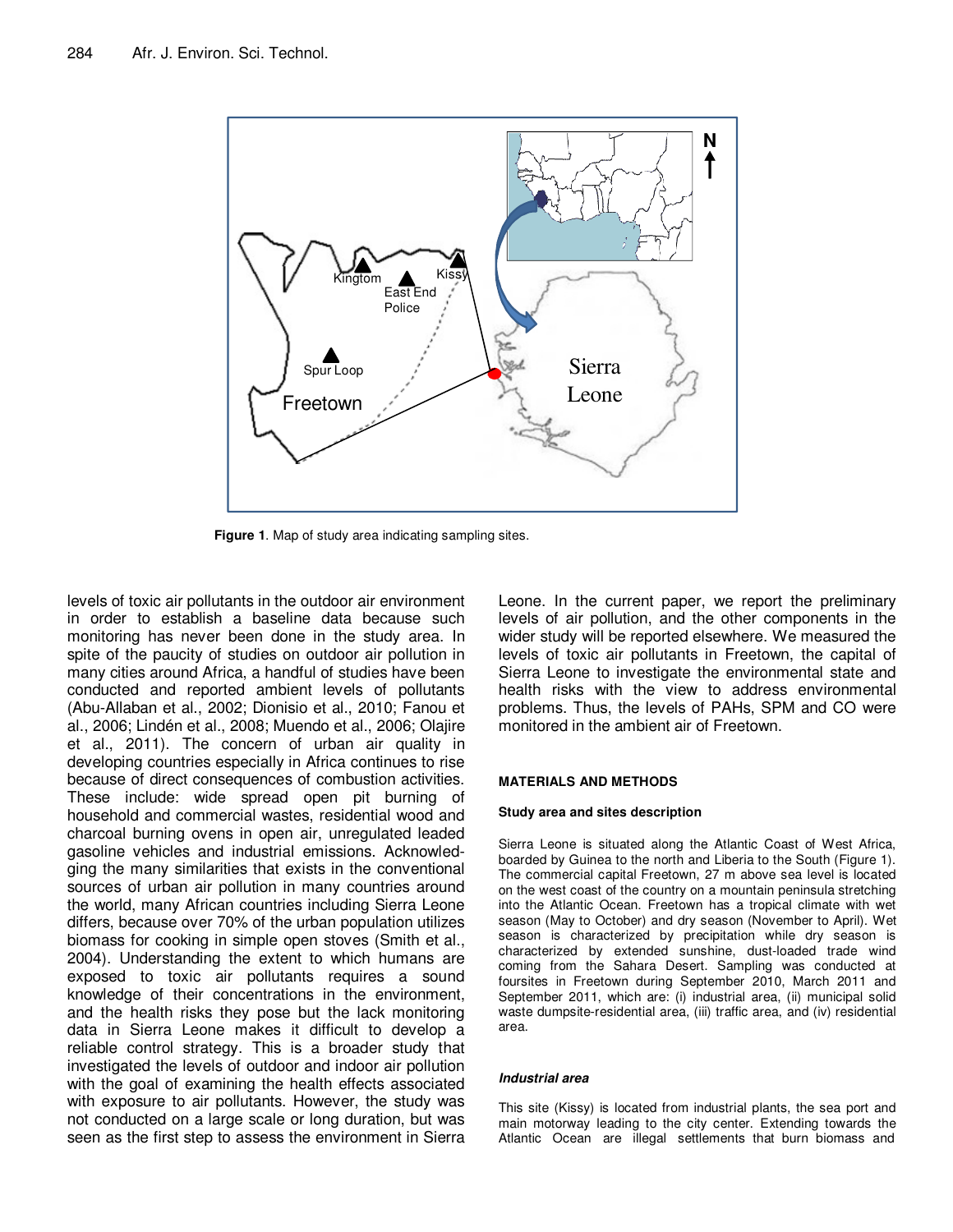

**Figure 1**. Map of study area indicating sampling sites.

levels of toxic air pollutants in the outdoor air environment in order to establish a baseline data because such monitoring has never been done in the study area. In spite of the paucity of studies on outdoor air pollution in many cities around Africa, a handful of studies have been conducted and reported ambient levels of pollutants (Abu-Allaban et al., 2002; Dionisio et al., 2010; Fanou et al., 2006; Lindén et al., 2008; Muendo et al., 2006; Olajire et al., 2011). The concern of urban air quality in developing countries especially in Africa continues to rise because of direct consequences of combustion activities. These include: wide spread open pit burning of household and commercial wastes, residential wood and charcoal burning ovens in open air, unregulated leaded gasoline vehicles and industrial emissions. Acknowledging the many similarities that exists in the conventional sources of urban air pollution in many countries around the world, many African countries including Sierra Leone differs, because over 70% of the urban population utilizes biomass for cooking in simple open stoves (Smith et al., 2004). Understanding the extent to which humans are exposed to toxic air pollutants requires a sound knowledge of their concentrations in the environment, and the health risks they pose but the lack monitoring data in Sierra Leone makes it difficult to develop a reliable control strategy. This is a broader study that investigated the levels of outdoor and indoor air pollution with the goal of examining the health effects associated with exposure to air pollutants. However, the study was not conducted on a large scale or long duration, but was seen as the first step to assess the environment in Sierra Leone. In the current paper, we report the preliminary levels of air pollution, and the other components in the wider study will be reported elsewhere. We measured the levels of toxic air pollutants in Freetown, the capital of Sierra Leone to investigate the environmental state and health risks with the view to address environmental problems. Thus, the levels of PAHs, SPM and CO were monitored in the ambient air of Freetown.

#### **MATERIALS AND METHODS**

#### **Study area and sites description**

Sierra Leone is situated along the Atlantic Coast of West Africa, boarded by Guinea to the north and Liberia to the South (Figure 1). The commercial capital Freetown, 27 m above sea level is located on the west coast of the country on a mountain peninsula stretching into the Atlantic Ocean. Freetown has a tropical climate with wet season (May to October) and dry season (November to April). Wet season is characterized by precipitation while dry season is characterized by extended sunshine, dust-loaded trade wind coming from the Sahara Desert. Sampling was conducted at foursites in Freetown during September 2010, March 2011 and September 2011, which are: (i) industrial area, (ii) municipal solid waste dumpsite-residential area, (iii) traffic area, and (iv) residential area.

### **Industrial area**

This site (Kissy) is located from industrial plants, the sea port and main motorway leading to the city center. Extending towards the Atlantic Ocean are illegal settlements that burn biomass and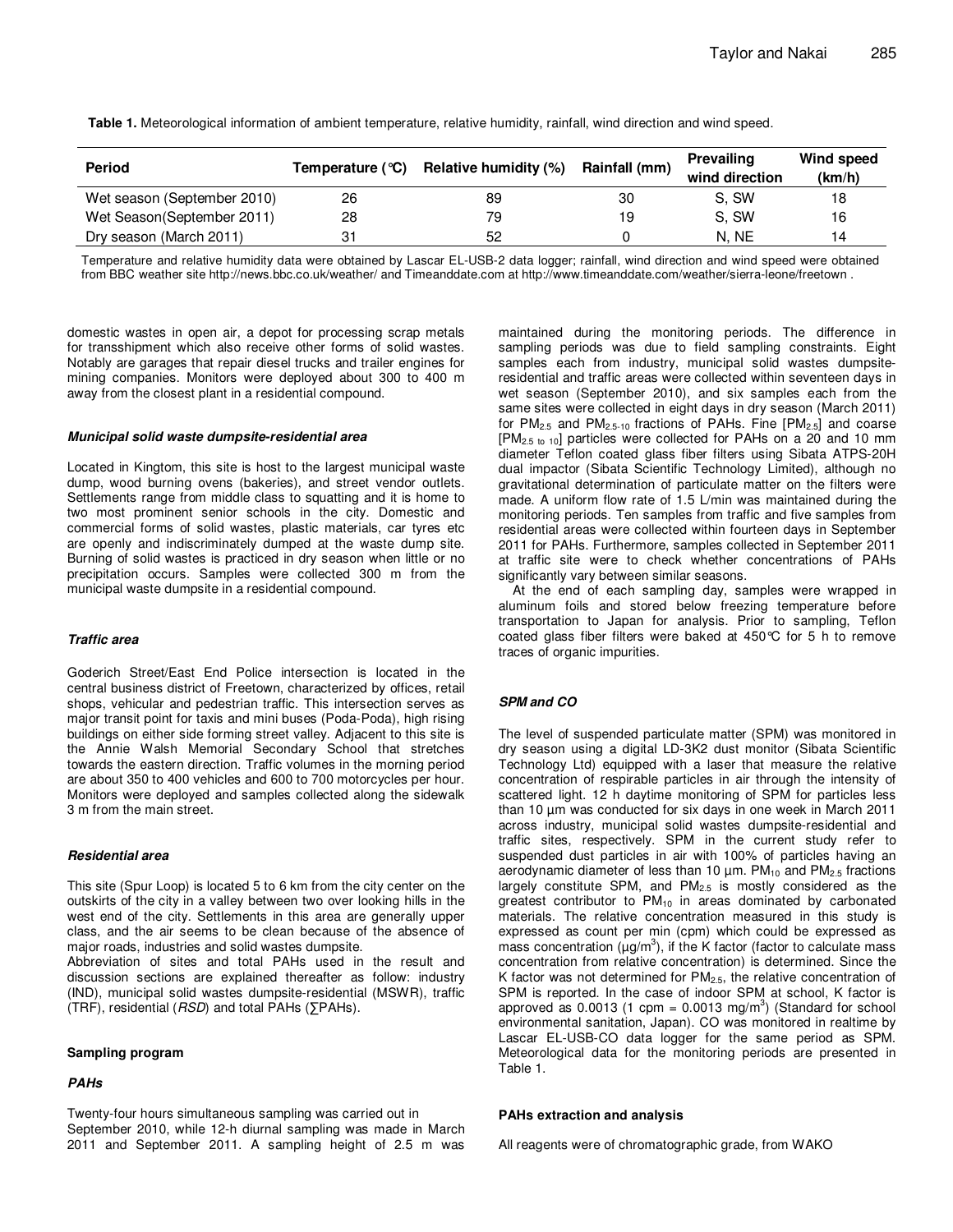| <b>Period</b>               | Temperature $(°C)$ | Relative humidity (%) | Rainfall (mm) | Prevailing<br>wind direction | Wind speed<br>(km/h) |
|-----------------------------|--------------------|-----------------------|---------------|------------------------------|----------------------|
| Wet season (September 2010) | 26                 | 89                    | 30            | S. SW                        | 18                   |
| Wet Season(September 2011)  | 28                 | 79                    | 19            | S. SW                        | 16                   |
| Dry season (March 2011)     |                    | 52                    |               | N. NE                        | 14                   |

**Table 1.** Meteorological information of ambient temperature, relative humidity, rainfall, wind direction and wind speed.

Temperature and relative humidity data were obtained by Lascar EL-USB-2 data logger; rainfall, wind direction and wind speed were obtained from BBC weather site http://news.bbc.co.uk/weather/ and Timeanddate.com at http://www.timeanddate.com/weather/sierra-leone/freetown .

domestic wastes in open air, a depot for processing scrap metals for transshipment which also receive other forms of solid wastes. Notably are garages that repair diesel trucks and trailer engines for mining companies. Monitors were deployed about 300 to 400 m away from the closest plant in a residential compound.

#### **Municipal solid waste dumpsite-residential area**

Located in Kingtom, this site is host to the largest municipal waste dump, wood burning ovens (bakeries), and street vendor outlets. Settlements range from middle class to squatting and it is home to two most prominent senior schools in the city. Domestic and commercial forms of solid wastes, plastic materials, car tyres etc are openly and indiscriminately dumped at the waste dump site. Burning of solid wastes is practiced in dry season when little or no precipitation occurs. Samples were collected 300 m from the municipal waste dumpsite in a residential compound.

#### **Traffic area**

Goderich Street/East End Police intersection is located in the central business district of Freetown, characterized by offices, retail shops, vehicular and pedestrian traffic. This intersection serves as major transit point for taxis and mini buses (Poda-Poda), high rising buildings on either side forming street valley. Adjacent to this site is the Annie Walsh Memorial Secondary School that stretches towards the eastern direction. Traffic volumes in the morning period are about 350 to 400 vehicles and 600 to 700 motorcycles per hour. Monitors were deployed and samples collected along the sidewalk 3 m from the main street.

#### **Residential area**

This site (Spur Loop) is located 5 to 6 km from the city center on the outskirts of the city in a valley between two over looking hills in the west end of the city. Settlements in this area are generally upper class, and the air seems to be clean because of the absence of major roads, industries and solid wastes dumpsite.

Abbreviation of sites and total PAHs used in the result and discussion sections are explained thereafter as follow: industry (IND), municipal solid wastes dumpsite-residential (MSWR), traffic (TRF), residential ( $RSD$ ) and total PAHs ( $\Sigma$ PAHs).

#### **Sampling program**

#### **PAHs**

Twenty-four hours simultaneous sampling was carried out in September 2010, while 12-h diurnal sampling was made in March 2011 and September 2011. A sampling height of 2.5 m was

maintained during the monitoring periods. The difference in sampling periods was due to field sampling constraints. Eight samples each from industry, municipal solid wastes dumpsiteresidential and traffic areas were collected within seventeen days in wet season (September 2010), and six samples each from the same sites were collected in eight days in dry season (March 2011) for  $PM_{2.5}$  and  $PM_{2.5-10}$  fractions of PAHs. Fine  $[PM_{2.5}]$  and coarse  $[PM<sub>2.5 to 10</sub>]$  particles were collected for PAHs on a 20 and 10 mm diameter Teflon coated glass fiber filters using Sibata ATPS-20H dual impactor (Sibata Scientific Technology Limited), although no gravitational determination of particulate matter on the filters were made. A uniform flow rate of 1.5 L/min was maintained during the monitoring periods. Ten samples from traffic and five samples from residential areas were collected within fourteen days in September 2011 for PAHs. Furthermore, samples collected in September 2011 at traffic site were to check whether concentrations of PAHs significantly vary between similar seasons.

At the end of each sampling day, samples were wrapped in aluminum foils and stored below freezing temperature before transportation to Japan for analysis. Prior to sampling, Teflon coated glass fiber filters were baked at 450°C for 5 h to remove traces of organic impurities.

#### **SPM and CO**

The level of suspended particulate matter (SPM) was monitored in dry season using a digital LD-3K2 dust monitor (Sibata Scientific Technology Ltd) equipped with a laser that measure the relative concentration of respirable particles in air through the intensity of scattered light. 12 h daytime monitoring of SPM for particles less than 10 µm was conducted for six days in one week in March 2011 across industry, municipal solid wastes dumpsite-residential and traffic sites, respectively. SPM in the current study refer to suspended dust particles in air with 100% of particles having an aerodynamic diameter of less than 10  $\mu$ m. PM $_{10}$  and PM $_{2.5}$  fractions largely constitute SPM, and  $PM_{2.5}$  is mostly considered as the greatest contributor to  $PM_{10}$  in areas dominated by carbonated materials. The relative concentration measured in this study is expressed as count per min (cpm) which could be expressed as mass concentration ( $\mu$ g/m<sup>3</sup>), if the K factor (factor to calculate mass concentration from relative concentration) is determined. Since the K factor was not determined for  $PM<sub>2.5</sub>$ , the relative concentration of SPM is reported. In the case of indoor SPM at school, K factor is approved as 0.0013 (1 cpm = 0.0013 mg/m<sup>3</sup>) (Standard for school environmental sanitation, Japan). CO was monitored in realtime by Lascar EL-USB-CO data logger for the same period as SPM. Meteorological data for the monitoring periods are presented in Table 1.

#### **PAHs extraction and analysis**

All reagents were of chromatographic grade, from WAKO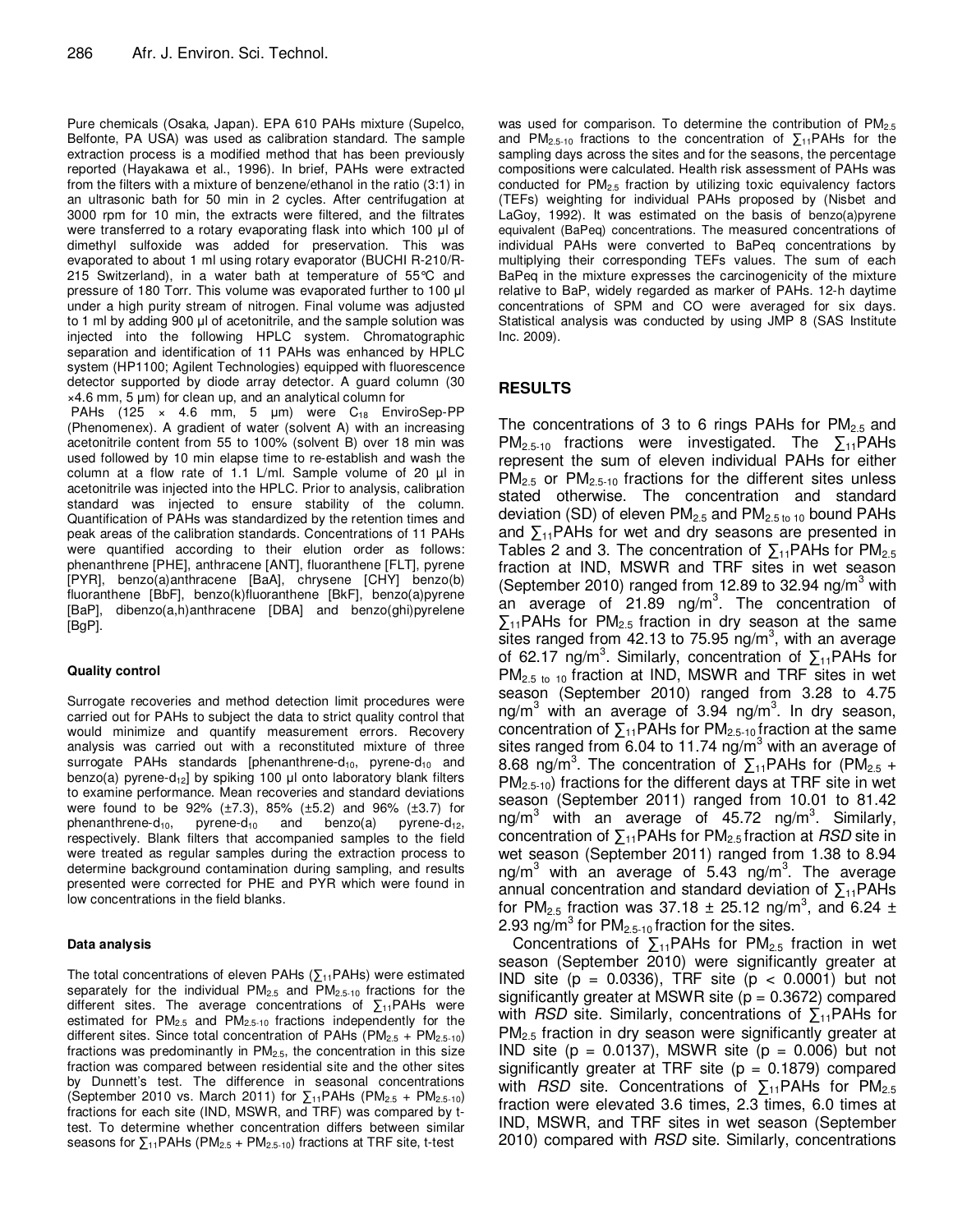Pure chemicals (Osaka, Japan). EPA 610 PAHs mixture (Supelco, Belfonte, PA USA) was used as calibration standard. The sample extraction process is a modified method that has been previously reported (Hayakawa et al., 1996). In brief, PAHs were extracted from the filters with a mixture of benzene/ethanol in the ratio (3:1) in an ultrasonic bath for 50 min in 2 cycles. After centrifugation at 3000 rpm for 10 min, the extracts were filtered, and the filtrates were transferred to a rotary evaporating flask into which 100 µl of dimethyl sulfoxide was added for preservation. This was evaporated to about 1 ml using rotary evaporator (BUCHI R-210/R-215 Switzerland), in a water bath at temperature of 55°C and pressure of 180 Torr. This volume was evaporated further to 100 µl under a high purity stream of nitrogen. Final volume was adjusted to 1 ml by adding 900 µl of acetonitrile, and the sample solution was injected into the following HPLC system. Chromatographic separation and identification of 11 PAHs was enhanced by HPLC system (HP1100; Agilent Technologies) equipped with fluorescence detector supported by diode array detector. A guard column (30  $\times$ 4.6 mm, 5  $\mu$ m) for clean up, and an analytical column for PAHs (125  $\times$  4.6 mm, 5 µm) were C<sub>18</sub> EnviroSep-PP (Phenomenex). A gradient of water (solvent A) with an increasing acetonitrile content from 55 to 100% (solvent B) over 18 min was used followed by 10 min elapse time to re-establish and wash the column at a flow rate of 1.1 L/ml. Sample volume of 20  $\mu$ l in acetonitrile was injected into the HPLC. Prior to analysis, calibration standard was injected to ensure stability of the column. Quantification of PAHs was standardized by the retention times and peak areas of the calibration standards. Concentrations of 11 PAHs were quantified according to their elution order as follows: phenanthrene [PHE], anthracene [ANT], fluoranthene [FLT], pyrene [PYR], benzo(a)anthracene [BaA], chrysene [CHY] benzo(b) fluoranthene [BbF], benzo(k)fluoranthene [BkF], benzo(a)pyrene [BaP], dibenzo(a,h)anthracene [DBA] and benzo(ghi)pyrelene [BgP].

## **Quality control**

Surrogate recoveries and method detection limit procedures were carried out for PAHs to subject the data to strict quality control that would minimize and quantify measurement errors. Recovery analysis was carried out with a reconstituted mixture of three surrogate PAHs standards [phenanthrene-d<sub>10</sub>, pyrene-d<sub>10</sub> and benzo(a) pyrene-d<sub>12</sub>] by spiking 100  $\mu$ l onto laboratory blank filters to examine performance. Mean recoveries and standard deviations were found to be 92% (±7.3), 85% (±5.2) and 96% (±3.7) for phenanthrene-d<sub>10</sub>, pyrene-d<sub>10</sub> and benzo(a) pyrene-d<sub>12</sub>, respectively. Blank filters that accompanied samples to the field were treated as regular samples during the extraction process to determine background contamination during sampling, and results presented were corrected for PHE and PYR which were found in low concentrations in the field blanks.

#### **Data analysis**

The total concentrations of eleven PAHs ( $\sum_{11}$ PAHs) were estimated separately for the individual PM<sub>2.5</sub> and PM<sub>2.5-10</sub> fractions for the different sites. The average concentrations of  $\Sigma_{11}$ PAHs were estimated for  $PM<sub>2.5</sub>$  and  $PM<sub>2.5-10</sub>$  fractions independently for the different sites. Since total concentration of PAHs  $(PM_{2.5} + PM_{2.5-10})$ fractions was predominantly in PM2.5, the concentration in this size fraction was compared between residential site and the other sites by Dunnett's test. The difference in seasonal concentrations (September 2010 vs. March 2011) for  $\Sigma_{11}$ PAHs (PM<sub>2.5</sub> + PM<sub>2.5-10</sub>) fractions for each site (IND, MSWR, and TRF) was compared by ttest. To determine whether concentration differs between similar seasons for  $\Sigma_{11}$ PAHs (PM<sub>2.5</sub> + PM<sub>2.5-10</sub>) fractions at TRF site, t-test

was used for comparison. To determine the contribution of PM<sub>2.5</sub> and PM<sub>2.5-10</sub> fractions to the concentration of  $\Sigma_{11}$ PAHs for the sampling days across the sites and for the seasons, the percentage compositions were calculated. Health risk assessment of PAHs was conducted for  $PM<sub>2.5</sub>$  fraction by utilizing toxic equivalency factors (TEFs) weighting for individual PAHs proposed by (Nisbet and LaGoy, 1992). It was estimated on the basis of benzo(a)pyrene equivalent (BaPeq) concentrations. The measured concentrations of individual PAHs were converted to BaPeq concentrations by multiplying their corresponding TEFs values. The sum of each BaPeq in the mixture expresses the carcinogenicity of the mixture relative to BaP, widely regarded as marker of PAHs. 12-h daytime concentrations of SPM and CO were averaged for six days. Statistical analysis was conducted by using JMP 8 (SAS Institute Inc. 2009).

## **RESULTS**

The concentrations of 3 to 6 rings PAHs for  $PM_{2.5}$  and PM<sub>2.5-10</sub> fractions were investigated. The  $\sum_{11}$ PAHs represent the sum of eleven individual PAHs for either  $PM_{2.5}$  or  $PM_{2.5-10}$  fractions for the different sites unless stated otherwise. The concentration and standard deviation (SD) of eleven  $PM<sub>2.5</sub>$  and  $PM<sub>2.5 to 10</sub>$  bound PAHs and  $\sum_{11}$ PAHs for wet and dry seasons are presented in Tables 2 and 3. The concentration of  $\Sigma_{11}$ PAHs for PM<sub>2.5</sub> fraction at IND, MSWR and TRF sites in wet season (September 2010) ranged from 12.89 to 32.94 ng/m<sup>3</sup> with an average of 21.89 ng/m<sup>3</sup>. The concentration of  $\Sigma_{11}$ PAHs for PM<sub>2.5</sub> fraction in dry season at the same sites ranged from 42.13 to 75.95 ng/m<sup>3</sup>, with an average of 62.17 ng/m<sup>3</sup>. Similarly, concentration of  $\sum_{11}$ PAHs for PM<sub>2.5 to 10</sub> fraction at IND, MSWR and TRF sites in wet season (September 2010) ranged from 3.28 to 4.75 ng/m<sup>3</sup> with an average of 3.94 ng/m<sup>3</sup>. In dry season, concentration of  $\sum_{11} PAHs$  for  $PM_{2.5-10}$  fraction at the same sites ranged from 6.04 to 11.74  $\frac{1}{10}$  m<sup>3</sup> with an average of 8.68 ng/m<sup>3</sup>. The concentration of  $\Sigma_{11}$ PAHs for (PM<sub>2.5</sub> +  $PM_{2.5-10}$ ) fractions for the different days at TRF site in wet season (September 2011) ranged from 10.01 to 81.42 ng/m<sup>3</sup> with an average of 45.72 ng/m<sup>3</sup>. Similarly, concentration of  $\sum_{11}$ PAHs for PM<sub>2.5</sub> fraction at *RSD* site in wet season (September 2011) ranged from 1.38 to 8.94 ng/m<sup>3</sup> with an average of 5.43 ng/m<sup>3</sup>. The average annual concentration and standard deviation of  $\Sigma_{11}$ PAHs for PM<sub>2.5</sub> fraction was 37.18  $\pm$  25.12 ng/m<sup>3</sup>, and 6.24  $\pm$ 2.93 ng/ $m^3$  for PM<sub>2.5-10</sub> fraction for the sites.

Concentrations of  $\Sigma_{11}$ PAHs for PM<sub>2.5</sub> fraction in wet season (September 2010) were significantly greater at IND site  $(p = 0.0336)$ , TRF site  $(p < 0.0001)$  but not significantly greater at MSWR site  $(p = 0.3672)$  compared with *RSD* site. Similarly, concentrations of  $\sum_{11}$ PAHs for PM<sub>2.5</sub> fraction in dry season were significantly greater at IND site (p = 0.0137), MSWR site (p = 0.006) but not significantly greater at TRF site  $(p = 0.1879)$  compared with *RSD* site. Concentrations of  $\sum_{11}$ PAHs for PM<sub>2.5</sub> fraction were elevated 3.6 times, 2.3 times, 6.0 times at IND, MSWR, and TRF sites in wet season (September 2010) compared with RSD site. Similarly, concentrations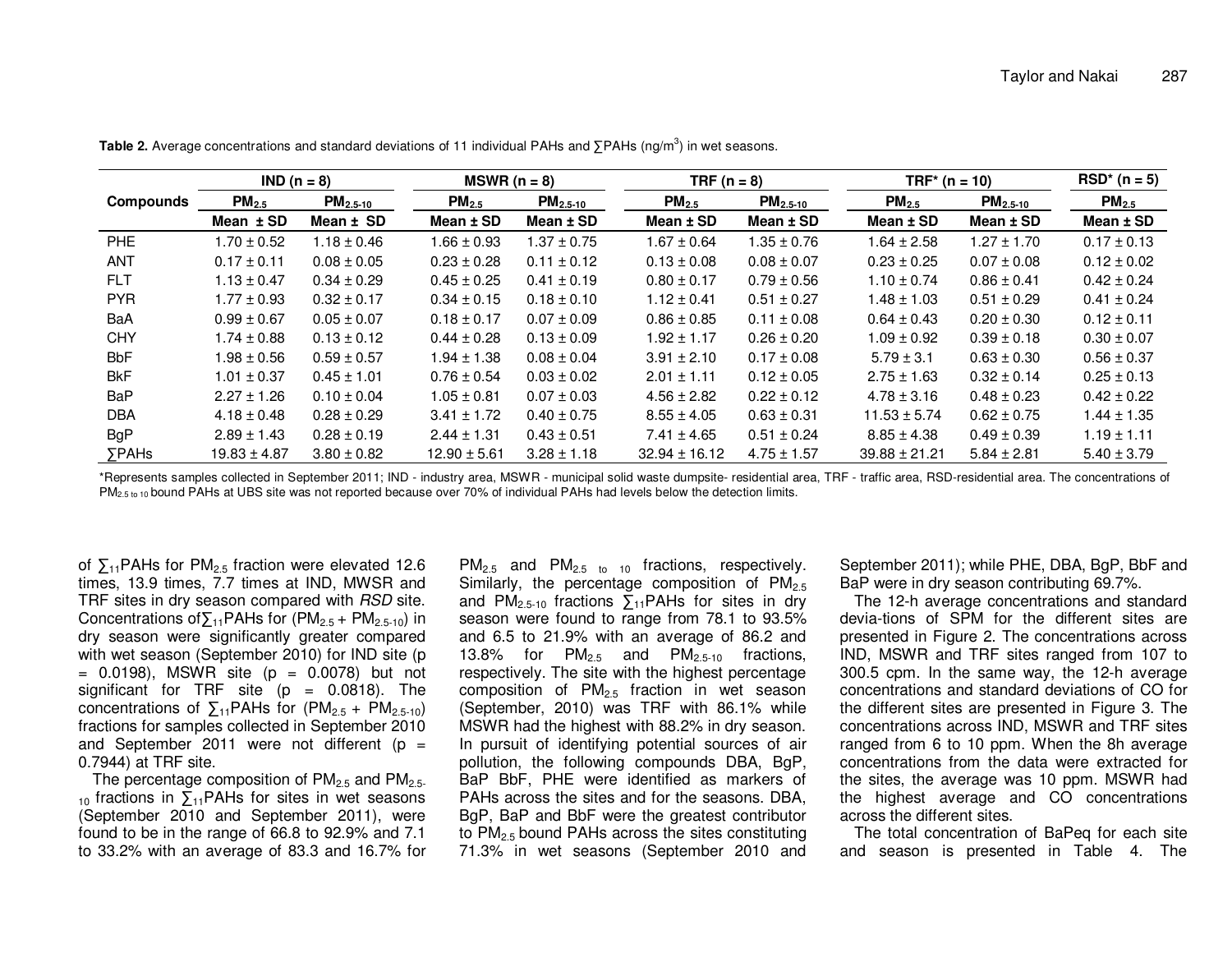| $IND (n = 8)$ |                   | $MSWR (n = 8)$       |                  | TRF $(n = 8)$   |                   | $TRF*$ (n = 10) |                   | $RSD^{*} (n = 5)$ |                   |
|---------------|-------------------|----------------------|------------------|-----------------|-------------------|-----------------|-------------------|-------------------|-------------------|
| Compounds     | PM <sub>2.5</sub> | PM <sub>2.5-10</sub> | $PM_{2.5}$       | $PM_{2.5-10}$   | PM <sub>2.5</sub> | $PM2.5-10$      | PM <sub>2.5</sub> | $PM2.5-10$        | PM <sub>2.5</sub> |
|               | Mean $±$ SD       | Mean ± SD            | Mean $±$ SD      | Mean $\pm$ SD   | Mean $±$ SD       | Mean $±$ SD     | Mean $±$ SD       | Mean $±$ SD       | Mean $±$ SD       |
| PHE           | $1.70 \pm 0.52$   | $1.18 \pm 0.46$      | $1.66 \pm 0.93$  | $1.37 \pm 0.75$ | $1.67 \pm 0.64$   | $1.35 \pm 0.76$ | $1.64 \pm 2.58$   | $1.27 \pm 1.70$   | $0.17 \pm 0.13$   |
| <b>ANT</b>    | $0.17 \pm 0.11$   | $0.08 \pm 0.05$      | $0.23 \pm 0.28$  | $0.11 \pm 0.12$ | $0.13 \pm 0.08$   | $0.08 \pm 0.07$ | $0.23 \pm 0.25$   | $0.07 \pm 0.08$   | $0.12 \pm 0.02$   |
| <b>FLT</b>    | $1.13 \pm 0.47$   | $0.34 \pm 0.29$      | $0.45 \pm 0.25$  | $0.41 \pm 0.19$ | $0.80 \pm 0.17$   | $0.79 \pm 0.56$ | $1.10 \pm 0.74$   | $0.86 \pm 0.41$   | $0.42 \pm 0.24$   |
| <b>PYR</b>    | $1.77 \pm 0.93$   | $0.32 \pm 0.17$      | $0.34 \pm 0.15$  | $0.18 \pm 0.10$ | $1.12 \pm 0.41$   | $0.51 \pm 0.27$ | $1.48 \pm 1.03$   | $0.51 \pm 0.29$   | $0.41 \pm 0.24$   |
| BaA           | $0.99 \pm 0.67$   | $0.05 \pm 0.07$      | $0.18 \pm 0.17$  | $0.07 \pm 0.09$ | $0.86 \pm 0.85$   | $0.11 \pm 0.08$ | $0.64 \pm 0.43$   | $0.20 \pm 0.30$   | $0.12 \pm 0.11$   |
| <b>CHY</b>    | $1.74 \pm 0.88$   | $0.13 \pm 0.12$      | $0.44 \pm 0.28$  | $0.13 \pm 0.09$ | $1.92 \pm 1.17$   | $0.26 \pm 0.20$ | $1.09 \pm 0.92$   | $0.39 \pm 0.18$   | $0.30 \pm 0.07$   |
| <b>BbF</b>    | $1.98 \pm 0.56$   | $0.59 \pm 0.57$      | $1.94 \pm 1.38$  | $0.08 \pm 0.04$ | $3.91 \pm 2.10$   | $0.17 \pm 0.08$ | $5.79 \pm 3.1$    | $0.63 \pm 0.30$   | $0.56 \pm 0.37$   |
| <b>BkF</b>    | $1.01 \pm 0.37$   | $0.45 \pm 1.01$      | $0.76 \pm 0.54$  | $0.03 \pm 0.02$ | $2.01 \pm 1.11$   | $0.12 \pm 0.05$ | $2.75 \pm 1.63$   | $0.32 \pm 0.14$   | $0.25 \pm 0.13$   |
| <b>BaP</b>    | $2.27 \pm 1.26$   | $0.10 \pm 0.04$      | $1.05 \pm 0.81$  | $0.07 \pm 0.03$ | $4.56 \pm 2.82$   | $0.22 \pm 0.12$ | $4.78 \pm 3.16$   | $0.48 \pm 0.23$   | $0.42 \pm 0.22$   |
| <b>DBA</b>    | $4.18 \pm 0.48$   | $0.28 \pm 0.29$      | $3.41 \pm 1.72$  | $0.40 \pm 0.75$ | $8.55 \pm 4.05$   | $0.63 \pm 0.31$ | $11.53 \pm 5.74$  | $0.62 \pm 0.75$   | $1.44 \pm 1.35$   |
| <b>BgP</b>    | $2.89 \pm 1.43$   | $0.28 \pm 0.19$      | $2.44 \pm 1.31$  | $0.43 \pm 0.51$ | $7.41 \pm 4.65$   | $0.51 \pm 0.24$ | $8.85 \pm 4.38$   | $0.49 \pm 0.39$   | $1.19 \pm 1.11$   |
| <b>SPAHs</b>  | $19.83 \pm 4.87$  | $3.80 \pm 0.82$      | $12.90 \pm 5.61$ | $3.28 \pm 1.18$ | $32.94 \pm 16.12$ | $4.75 \pm 1.57$ | $39.88 \pm 21.21$ | $5.84 \pm 2.81$   | $5.40 \pm 3.79$   |

Table 2. Average concentrations and standard deviations of 11 individual PAHs and ∑PAHs (ng/m<sup>3</sup>) in wet seasons.

\*Represents samples collected in September 2011; IND - industry area, MSWR - municipal solid waste dumpsite- residential area, TRF - traffic area, RSD-residential area. The concentrations of PM<sub>2.5 to 10</sub> bound PAHs at UBS site was not reported because over 70% of individual PAHs had levels below the detection limits.

of  $\Sigma_{11}$ PAHs for PM<sub>2.5</sub> fraction were elevated 12.6 times, 13.9 times, 7.7 times at IND, MWSR and TRF sites in dry season compared with RSD site. Concentrations of $\sum_{11}$ PAHs for (PM<sub>2.5</sub> + PM<sub>2.5-10</sub>) in dry season were significantly greater compared with wet season (September 2010) for IND site (p  $= 0.0198$ ), MSWR site (p  $= 0.0078$ ) but not significant for TRF site (p = 0.0818). The concentrations of  $\Sigma_{11}$ PAHs for (PM<sub>2.5</sub> + PM<sub>2.5-10</sub>) fractions for samples collected in September 2010 and September 2011 were not different (p = 0.7944) at TRF site.

The percentage composition of  $PM_{2.5}$  and  $PM_{2.5}$  $10$  fractions in  $\sum_{11}$ PAHs for sites in wet seasons (September 2010 and September 2011), were found to be in the range of 66.8 to 92.9% and 7.1 to 33.2% with an average of 83.3 and 16.7% for  $PM_{2.5}$  and  $PM_{2.5}$  to 10 fractions, respectively. Similarly, the percentage composition of  $PM<sub>2.5</sub>$ and PM<sub>2.5-10</sub> fractions  $\sum_{11}$ PAHs for sites in dry season were found to range from 78.1 to 93.5% and 6.5 to 21.9% with an average of 86.2 and 13.8% for  $PM<sub>2.5</sub>$  and  $PM<sub>2.5-10</sub>$  fractions, respectively. The site with the highest percentage composition of  $PM<sub>2.5</sub>$  fraction in wet season (September, 2010) was TRF with 86.1% while MSWR had the highest with 88.2% in dry season. In pursuit of identifying potential sources of air pollution, the following compounds DBA, BgP, BaP BbF, PHE were identified as markers of PAHs across the sites and for the seasons. DBA, BgP, BaP and BbF were the greatest contributor to  $PM<sub>2.5</sub>$  bound PAHs across the sites constituting 71.3% in wet seasons (September 2010 and

September 2011); while PHE, DBA, BgP, BbF and BaP were in dry season contributing 69.7%.

 The 12-h average concentrations and standard devia-tions of SPM for the different sites are presented in Figure 2. The concentrations across IND, MSWR and TRF sites ranged from 107 to 300.5 cpm. In the same way, the 12-h average concentrations and standard deviations of CO for the different sites are presented in Figure 3. The concentrations across IND, MSWR and TRF sites ranged from 6 to 10 ppm. When the 8h average concentrations from the data were extracted for the sites, the average was 10 ppm. MSWR had the highest average and CO concentrations across the different sites.

 The total concentration of BaPeq for each site and season is presented in Table 4. The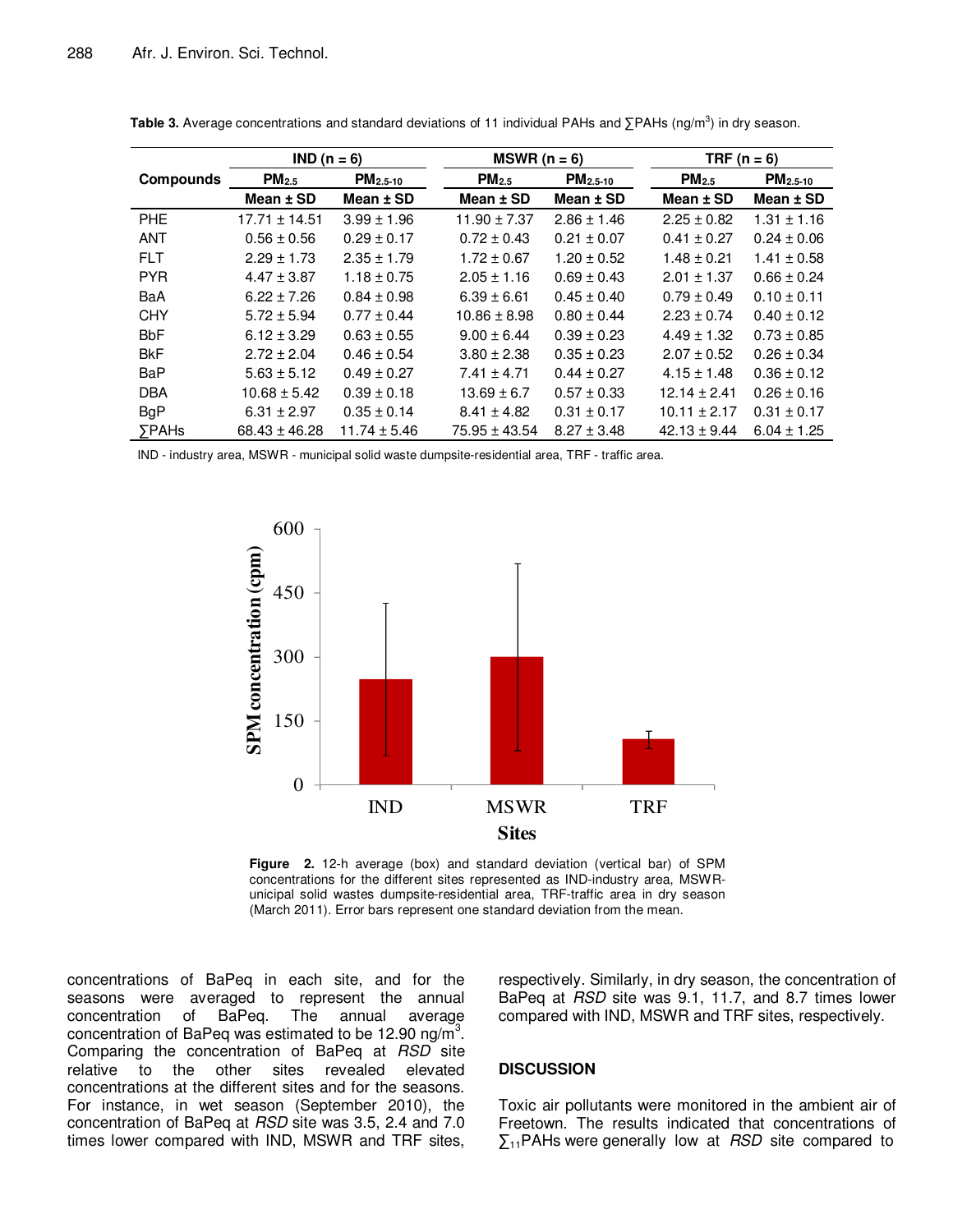|                  | $IND (n = 6)$     |                  | $MSWR (n = 6)$    |                      | TRF $(n = 6)$     |                      |  |
|------------------|-------------------|------------------|-------------------|----------------------|-------------------|----------------------|--|
| <b>Compounds</b> | PM <sub>2.5</sub> | $PM2.5-10$       | PM <sub>2.5</sub> | PM <sub>2.5-10</sub> | PM <sub>2.5</sub> | PM <sub>2.5-10</sub> |  |
|                  | Mean $±$ SD       | Mean $±$ SD      | Mean $±$ SD       | Mean $±$ SD          | Mean $±$ SD       | Mean $±$ SD          |  |
| <b>PHE</b>       | $17.71 \pm 14.51$ | $3.99 \pm 1.96$  | $11.90 \pm 7.37$  | $2.86 \pm 1.46$      | $2.25 \pm 0.82$   | $1.31 \pm 1.16$      |  |
| <b>ANT</b>       | $0.56 \pm 0.56$   | $0.29 \pm 0.17$  | $0.72 \pm 0.43$   | $0.21 \pm 0.07$      | $0.41 \pm 0.27$   | $0.24 \pm 0.06$      |  |
| <b>FLT</b>       | $2.29 \pm 1.73$   | $2.35 \pm 1.79$  | $1.72 \pm 0.67$   | $1.20 \pm 0.52$      | $1.48 \pm 0.21$   | $1.41 \pm 0.58$      |  |
| <b>PYR</b>       | $4.47 \pm 3.87$   | $1.18 \pm 0.75$  | $2.05 \pm 1.16$   | $0.69 \pm 0.43$      | $2.01 \pm 1.37$   | $0.66 \pm 0.24$      |  |
| BaA              | $6.22 \pm 7.26$   | $0.84 \pm 0.98$  | $6.39 \pm 6.61$   | $0.45 \pm 0.40$      | $0.79 \pm 0.49$   | $0.10 \pm 0.11$      |  |
| <b>CHY</b>       | $5.72 \pm 5.94$   | $0.77 \pm 0.44$  | $10.86 \pm 8.98$  | $0.80 \pm 0.44$      | $2.23 \pm 0.74$   | $0.40 \pm 0.12$      |  |
| <b>BbF</b>       | $6.12 \pm 3.29$   | $0.63 \pm 0.55$  | $9.00 \pm 6.44$   | $0.39 \pm 0.23$      | $4.49 \pm 1.32$   | $0.73 \pm 0.85$      |  |
| <b>BkF</b>       | $2.72 \pm 2.04$   | $0.46 \pm 0.54$  | $3.80 \pm 2.38$   | $0.35 \pm 0.23$      | $2.07 \pm 0.52$   | $0.26 \pm 0.34$      |  |
| BaP              | $5.63 \pm 5.12$   | $0.49 \pm 0.27$  | $7.41 \pm 4.71$   | $0.44 \pm 0.27$      | $4.15 \pm 1.48$   | $0.36 \pm 0.12$      |  |
| <b>DBA</b>       | $10.68 \pm 5.42$  | $0.39 \pm 0.18$  | $13.69 \pm 6.7$   | $0.57 \pm 0.33$      | $12.14 \pm 2.41$  | $0.26 \pm 0.16$      |  |
| <b>BgP</b>       | $6.31 \pm 2.97$   | $0.35 \pm 0.14$  | $8.41 \pm 4.82$   | $0.31 \pm 0.17$      | $10.11 \pm 2.17$  | $0.31 \pm 0.17$      |  |
| <b>SPAHs</b>     | $68.43 \pm 46.28$ | $11.74 \pm 5.46$ | $75.95 \pm 43.54$ | $8.27 \pm 3.48$      | $42.13 \pm 9.44$  | $6.04 \pm 1.25$      |  |

Table 3. Average concentrations and standard deviations of 11 individual PAHs and ∑PAHs (ng/m<sup>3</sup>) in dry season.

IND - industry area, MSWR - municipal solid waste dumpsite-residential area, TRF - traffic area.



**Figure 2.** 12-h average (box) and standard deviation (vertical bar) of SPM concentrations for the different sites represented as IND-industry area, MSWRunicipal solid wastes dumpsite-residential area, TRF-traffic area in dry season (March 2011). Error bars represent one standard deviation from the mean.

concentrations of BaPeq in each site, and for the seasons were averaged to represent the annual concentration of BaPeq. The annual average concentration of BaPeq was estimated to be 12.90 ng/m<sup>3</sup>. Comparing the concentration of BaPeq at RSD site relative to the other sites revealed elevated concentrations at the different sites and for the seasons. For instance, in wet season (September 2010), the concentration of BaPeq at RSD site was 3.5, 2.4 and 7.0 times lower compared with IND, MSWR and TRF sites,

respectively. Similarly, in dry season, the concentration of BaPeq at RSD site was 9.1, 11.7, and 8.7 times lower compared with IND, MSWR and TRF sites, respectively.

## **DISCUSSION**

Toxic air pollutants were monitored in the ambient air of Freetown. The results indicated that concentrations of  $\sum_{11}$ PAHs were generally low at *RSD* site compared to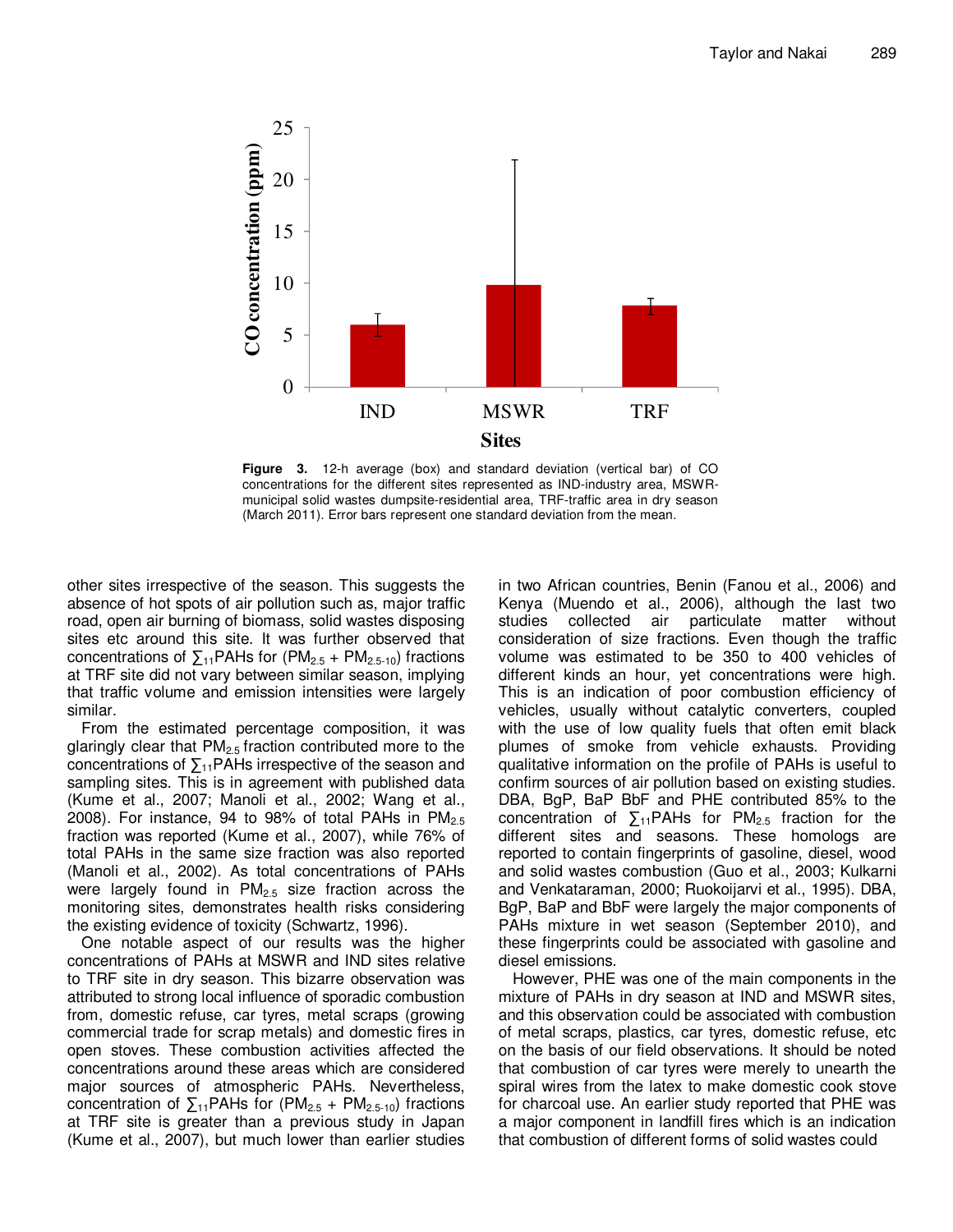

**Figure 3.** 12-h average (box) and standard deviation (vertical bar) of CO concentrations for the different sites represented as IND-industry area, MSWRmunicipal solid wastes dumpsite-residential area, TRF-traffic area in dry season (March 2011). Error bars represent one standard deviation from the mean.

other sites irrespective of the season. This suggests the absence of hot spots of air pollution such as, major traffic road, open air burning of biomass, solid wastes disposing sites etc around this site. It was further observed that concentrations of  $\Sigma_{11}$ PAHs for (PM<sub>2.5</sub> + PM<sub>2.5-10</sub>) fractions at TRF site did not vary between similar season, implying that traffic volume and emission intensities were largely similar.

From the estimated percentage composition, it was glaringly clear that  $PM_{2.5}$  fraction contributed more to the concentrations of  $\sum_{11}$ PAHs irrespective of the season and sampling sites. This is in agreement with published data (Kume et al., 2007; Manoli et al., 2002; Wang et al., 2008). For instance, 94 to 98% of total PAHs in  $PM_{2.5}$ fraction was reported (Kume et al., 2007), while 76% of total PAHs in the same size fraction was also reported (Manoli et al., 2002). As total concentrations of PAHs were largely found in  $PM<sub>2.5</sub>$  size fraction across the monitoring sites, demonstrates health risks considering the existing evidence of toxicity (Schwartz, 1996).

One notable aspect of our results was the higher concentrations of PAHs at MSWR and IND sites relative to TRF site in dry season. This bizarre observation was attributed to strong local influence of sporadic combustion from, domestic refuse, car tyres, metal scraps (growing commercial trade for scrap metals) and domestic fires in open stoves. These combustion activities affected the concentrations around these areas which are considered major sources of atmospheric PAHs. Nevertheless, concentration of  $\Sigma_{11}$ PAHs for (PM<sub>2.5</sub> + PM<sub>2.5-10</sub>) fractions at TRF site is greater than a previous study in Japan (Kume et al., 2007), but much lower than earlier studies

in two African countries, Benin (Fanou et al., 2006) and Kenya (Muendo et al., 2006), although the last two studies collected air particulate matter without consideration of size fractions. Even though the traffic volume was estimated to be 350 to 400 vehicles of different kinds an hour, yet concentrations were high. This is an indication of poor combustion efficiency of vehicles, usually without catalytic converters, coupled with the use of low quality fuels that often emit black plumes of smoke from vehicle exhausts. Providing qualitative information on the profile of PAHs is useful to confirm sources of air pollution based on existing studies. DBA, BgP, BaP BbF and PHE contributed 85% to the concentration of  $\Sigma_{11}$ PAHs for PM<sub>2.5</sub> fraction for the different sites and seasons. These homologs are reported to contain fingerprints of gasoline, diesel, wood and solid wastes combustion (Guo et al., 2003; Kulkarni and Venkataraman, 2000; Ruokoijarvi et al., 1995). DBA, BgP, BaP and BbF were largely the major components of PAHs mixture in wet season (September 2010), and these fingerprints could be associated with gasoline and diesel emissions.

However, PHE was one of the main components in the mixture of PAHs in dry season at IND and MSWR sites, and this observation could be associated with combustion of metal scraps, plastics, car tyres, domestic refuse, etc on the basis of our field observations. It should be noted that combustion of car tyres were merely to unearth the spiral wires from the latex to make domestic cook stove for charcoal use. An earlier study reported that PHE was a major component in landfill fires which is an indication that combustion of different forms of solid wastes could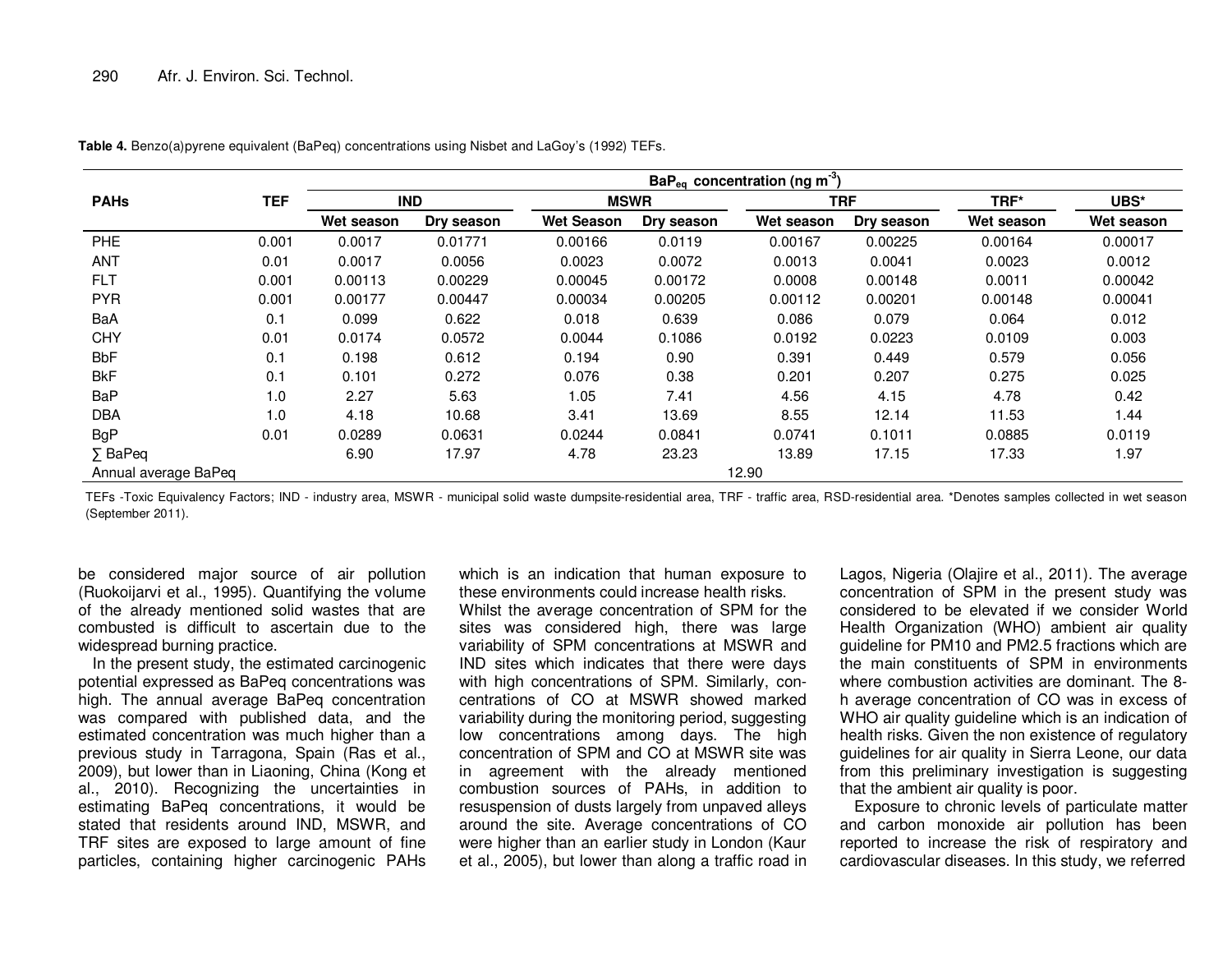|                      |       | BaP <sub>eq</sub> concentration (ng m <sup>-3</sup> ) |            |                   |            |            |            |            |            |
|----------------------|-------|-------------------------------------------------------|------------|-------------------|------------|------------|------------|------------|------------|
| <b>PAHs</b>          | TEF   | <b>IND</b>                                            |            | <b>MSWR</b>       |            | <b>TRF</b> |            | TRF*       | UBS*       |
|                      |       | Wet season                                            | Dry season | <b>Wet Season</b> | Dry season | Wet season | Dry season | Wet season | Wet season |
| <b>PHE</b>           | 0.001 | 0.0017                                                | 0.01771    | 0.00166           | 0.0119     | 0.00167    | 0.00225    | 0.00164    | 0.00017    |
| <b>ANT</b>           | 0.01  | 0.0017                                                | 0.0056     | 0.0023            | 0.0072     | 0.0013     | 0.0041     | 0.0023     | 0.0012     |
| <b>FLT</b>           | 0.001 | 0.00113                                               | 0.00229    | 0.00045           | 0.00172    | 0.0008     | 0.00148    | 0.0011     | 0.00042    |
| <b>PYR</b>           | 0.001 | 0.00177                                               | 0.00447    | 0.00034           | 0.00205    | 0.00112    | 0.00201    | 0.00148    | 0.00041    |
| BaA                  | 0.1   | 0.099                                                 | 0.622      | 0.018             | 0.639      | 0.086      | 0.079      | 0.064      | 0.012      |
| <b>CHY</b>           | 0.01  | 0.0174                                                | 0.0572     | 0.0044            | 0.1086     | 0.0192     | 0.0223     | 0.0109     | 0.003      |
| <b>BbF</b>           | 0.1   | 0.198                                                 | 0.612      | 0.194             | 0.90       | 0.391      | 0.449      | 0.579      | 0.056      |
| <b>BkF</b>           | 0.1   | 0.101                                                 | 0.272      | 0.076             | 0.38       | 0.201      | 0.207      | 0.275      | 0.025      |
| <b>BaP</b>           | 1.0   | 2.27                                                  | 5.63       | 1.05              | 7.41       | 4.56       | 4.15       | 4.78       | 0.42       |
| <b>DBA</b>           | 1.0   | 4.18                                                  | 10.68      | 3.41              | 13.69      | 8.55       | 12.14      | 11.53      | 1.44       |
| <b>BgP</b>           | 0.01  | 0.0289                                                | 0.0631     | 0.0244            | 0.0841     | 0.0741     | 0.1011     | 0.0885     | 0.0119     |
| $\Sigma$ BaPeq       |       | 6.90                                                  | 17.97      | 4.78              | 23.23      | 13.89      | 17.15      | 17.33      | 1.97       |
| Annual average BaPeq |       |                                                       |            |                   |            | 12.90      |            |            |            |

**Table 4.** Benzo(a)pyrene equivalent (BaPeq) concentrations using Nisbet and LaGoy's (1992) TEFs.

TEFs -Toxic Equivalency Factors; IND - industry area, MSWR - municipal solid waste dumpsite-residential area, TRF - traffic area, RSD-residential area. \*Denotes samples collected in wet season (September 2011).

be considered major source of air pollution (Ruokoijarvi et al., 1995). Quantifying the volume of the already mentioned solid wastes that are combusted is difficult to ascertain due to the widespread burning practice.

 In the present study, the estimated carcinogenic potential expressed as BaPeq concentrations was high. The annual average BaPeq concentration was compared with published data, and the estimated concentration was much higher than a previous study in Tarragona, Spain (Ras et al., 2009), but lower than in Liaoning, China (Kong et al., 2010). Recognizing the uncertainties in estimating BaPeq concentrations, it would be stated that residents around IND, MSWR, and TRF sites are exposed to large amount of fine particles, containing higher carcinogenic PAHs

which is an indication that human exposure to these environments could increase health risks.

 Whilst the average concentration of SPM for the sites was considered high, there was large variability of SPM concentrations at MSWR and IND sites which indicates that there were days with high concentrations of SPM. Similarly, concentrations of CO at MSWR showed marked variability during the monitoring period, suggesting low concentrations among days. The high concentration of SPM and CO at MSWR site was in agreement with the already mentioned combustion sources of PAHs, in addition to resuspension of dusts largely from unpaved alleys around the site. Average concentrations of CO were higher than an earlier study in London (Kaur et al., 2005), but lower than along a traffic road in Lagos, Nigeria (Olajire et al., 2011). The average concentration of SPM in the present study was considered to be elevated if we consider World Health Organization (WHO) ambient air quality guideline for PM10 and PM2.5 fractions which are the main constituents of SPM in environments where combustion activities are dominant. The 8 h average concentration of CO was in excess of WHO air quality guideline which is an indication of health risks. Given the non existence of regulatory guidelines for air quality in Sierra Leone, our data from this preliminary investigation is suggesting that the ambient air quality is poor.

 Exposure to chronic levels of particulate matter and carbon monoxide air pollution has been reported to increase the risk of respiratory and cardiovascular diseases. In this study, we referred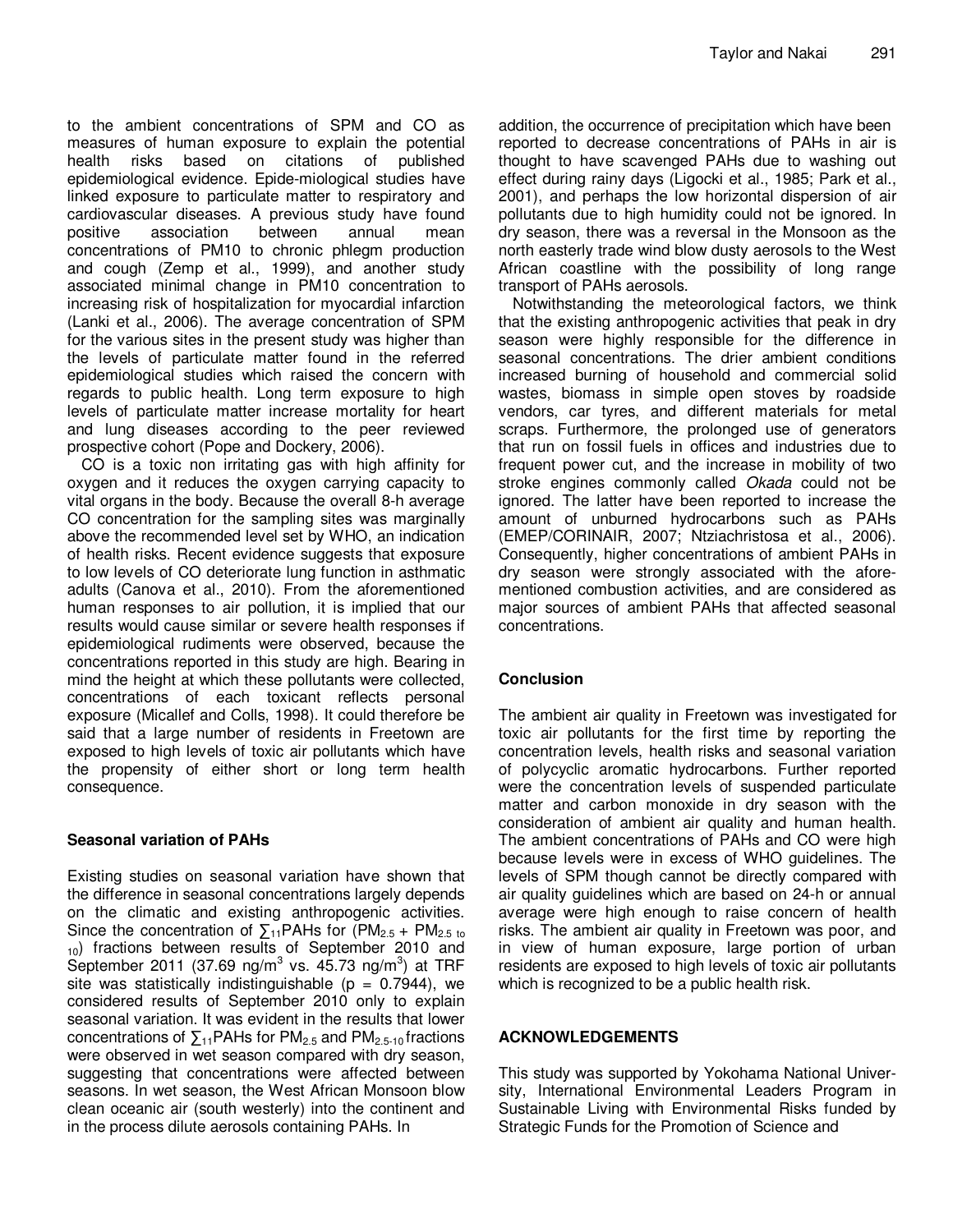to the ambient concentrations of SPM and CO as measures of human exposure to explain the potential health risks based on citations of published epidemiological evidence. Epide-miological studies have linked exposure to particulate matter to respiratory and cardiovascular diseases. A previous study have found positive association between annual mean concentrations of PM10 to chronic phlegm production and cough (Zemp et al., 1999), and another study associated minimal change in PM10 concentration to increasing risk of hospitalization for myocardial infarction (Lanki et al., 2006). The average concentration of SPM for the various sites in the present study was higher than the levels of particulate matter found in the referred epidemiological studies which raised the concern with regards to public health. Long term exposure to high levels of particulate matter increase mortality for heart and lung diseases according to the peer reviewed prospective cohort (Pope and Dockery, 2006).

CO is a toxic non irritating gas with high affinity for oxygen and it reduces the oxygen carrying capacity to vital organs in the body. Because the overall 8-h average CO concentration for the sampling sites was marginally above the recommended level set by WHO, an indication of health risks. Recent evidence suggests that exposure to low levels of CO deteriorate lung function in asthmatic adults (Canova et al., 2010). From the aforementioned human responses to air pollution, it is implied that our results would cause similar or severe health responses if epidemiological rudiments were observed, because the concentrations reported in this study are high. Bearing in mind the height at which these pollutants were collected, concentrations of each toxicant reflects personal exposure (Micallef and Colls, 1998). It could therefore be said that a large number of residents in Freetown are exposed to high levels of toxic air pollutants which have the propensity of either short or long term health consequence.

## **Seasonal variation of PAHs**

Existing studies on seasonal variation have shown that the difference in seasonal concentrations largely depends on the climatic and existing anthropogenic activities. Since the concentration of  $\Sigma_{11}$ PAHs for (PM<sub>2.5</sub> + PM<sub>2.5 to</sub> <sub>10</sub>) fractions between results of September 2010 and September 2011 (37.69 ng/m<sup>3</sup> vs. 45.73 ng/m<sup>3</sup>) at TRF site was statistically indistinguishable ( $p = 0.7944$ ), we considered results of September 2010 only to explain seasonal variation. It was evident in the results that lower concentrations of  $\Sigma_{11}$ PAHs for PM<sub>2.5</sub> and PM<sub>2.5-10</sub> fractions were observed in wet season compared with dry season, suggesting that concentrations were affected between seasons. In wet season, the West African Monsoon blow clean oceanic air (south westerly) into the continent and in the process dilute aerosols containing PAHs. In

addition, the occurrence of precipitation which have been reported to decrease concentrations of PAHs in air is thought to have scavenged PAHs due to washing out effect during rainy days (Ligocki et al., 1985; Park et al., 2001), and perhaps the low horizontal dispersion of air pollutants due to high humidity could not be ignored. In dry season, there was a reversal in the Monsoon as the north easterly trade wind blow dusty aerosols to the West African coastline with the possibility of long range transport of PAHs aerosols.

Notwithstanding the meteorological factors, we think that the existing anthropogenic activities that peak in dry season were highly responsible for the difference in seasonal concentrations. The drier ambient conditions increased burning of household and commercial solid wastes, biomass in simple open stoves by roadside vendors, car tyres, and different materials for metal scraps. Furthermore, the prolonged use of generators that run on fossil fuels in offices and industries due to frequent power cut, and the increase in mobility of two stroke engines commonly called Okada could not be ignored. The latter have been reported to increase the amount of unburned hydrocarbons such as PAHs (EMEP/CORINAIR, 2007; Ntziachristosa et al., 2006). Consequently, higher concentrations of ambient PAHs in dry season were strongly associated with the aforementioned combustion activities, and are considered as major sources of ambient PAHs that affected seasonal concentrations.

## **Conclusion**

The ambient air quality in Freetown was investigated for toxic air pollutants for the first time by reporting the concentration levels, health risks and seasonal variation of polycyclic aromatic hydrocarbons. Further reported were the concentration levels of suspended particulate matter and carbon monoxide in dry season with the consideration of ambient air quality and human health. The ambient concentrations of PAHs and CO were high because levels were in excess of WHO guidelines. The levels of SPM though cannot be directly compared with air quality guidelines which are based on 24-h or annual average were high enough to raise concern of health risks. The ambient air quality in Freetown was poor, and in view of human exposure, large portion of urban residents are exposed to high levels of toxic air pollutants which is recognized to be a public health risk.

## **ACKNOWLEDGEMENTS**

This study was supported by Yokohama National University, International Environmental Leaders Program in Sustainable Living with Environmental Risks funded by Strategic Funds for the Promotion of Science and